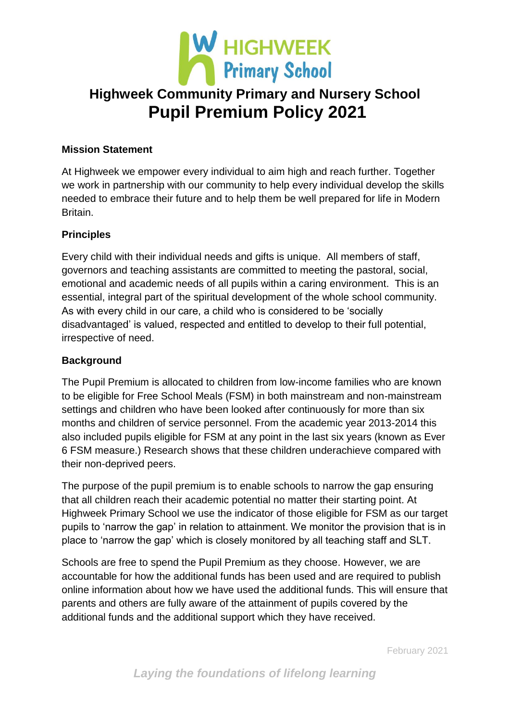

### **Mission Statement**

At Highweek we empower every individual to aim high and reach further. Together we work in partnership with our community to help every individual develop the skills needed to embrace their future and to help them be well prepared for life in Modern Britain.

### **Principles**

Every child with their individual needs and gifts is unique. All members of staff, governors and teaching assistants are committed to meeting the pastoral, social, emotional and academic needs of all pupils within a caring environment. This is an essential, integral part of the spiritual development of the whole school community. As with every child in our care, a child who is considered to be 'socially disadvantaged' is valued, respected and entitled to develop to their full potential, irrespective of need.

#### **Background**

The Pupil Premium is allocated to children from low-income families who are known to be eligible for Free School Meals (FSM) in both mainstream and non-mainstream settings and children who have been looked after continuously for more than six months and children of service personnel. From the academic year 2013-2014 this also included pupils eligible for FSM at any point in the last six years (known as Ever 6 FSM measure.) Research shows that these children underachieve compared with their non-deprived peers.

The purpose of the pupil premium is to enable schools to narrow the gap ensuring that all children reach their academic potential no matter their starting point. At Highweek Primary School we use the indicator of those eligible for FSM as our target pupils to 'narrow the gap' in relation to attainment. We monitor the provision that is in place to 'narrow the gap' which is closely monitored by all teaching staff and SLT.

Schools are free to spend the Pupil Premium as they choose. However, we are accountable for how the additional funds has been used and are required to publish online information about how we have used the additional funds. This will ensure that parents and others are fully aware of the attainment of pupils covered by the additional funds and the additional support which they have received.

February 2021

*Laying the foundations of lifelong learning*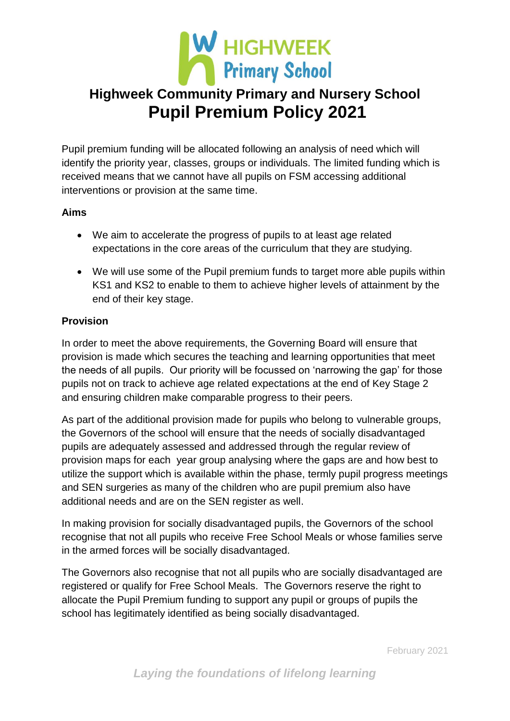

Pupil premium funding will be allocated following an analysis of need which will identify the priority year, classes, groups or individuals. The limited funding which is received means that we cannot have all pupils on FSM accessing additional interventions or provision at the same time.

### **Aims**

- We aim to accelerate the progress of pupils to at least age related expectations in the core areas of the curriculum that they are studying.
- We will use some of the Pupil premium funds to target more able pupils within KS1 and KS2 to enable to them to achieve higher levels of attainment by the end of their key stage.

# **Provision**

In order to meet the above requirements, the Governing Board will ensure that provision is made which secures the teaching and learning opportunities that meet the needs of all pupils. Our priority will be focussed on 'narrowing the gap' for those pupils not on track to achieve age related expectations at the end of Key Stage 2 and ensuring children make comparable progress to their peers.

As part of the additional provision made for pupils who belong to vulnerable groups, the Governors of the school will ensure that the needs of socially disadvantaged pupils are adequately assessed and addressed through the regular review of provision maps for each year group analysing where the gaps are and how best to utilize the support which is available within the phase, termly pupil progress meetings and SEN surgeries as many of the children who are pupil premium also have additional needs and are on the SEN register as well.

In making provision for socially disadvantaged pupils, the Governors of the school recognise that not all pupils who receive Free School Meals or whose families serve in the armed forces will be socially disadvantaged.

The Governors also recognise that not all pupils who are socially disadvantaged are registered or qualify for Free School Meals. The Governors reserve the right to allocate the Pupil Premium funding to support any pupil or groups of pupils the school has legitimately identified as being socially disadvantaged.

February 2021

*Laying the foundations of lifelong learning*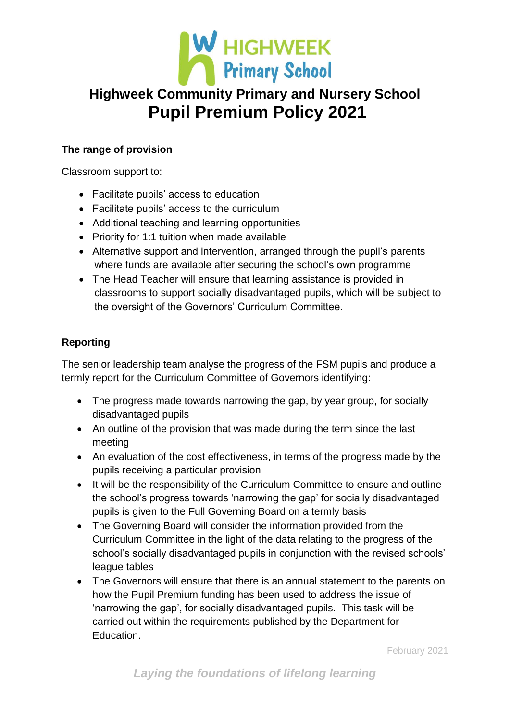

# **The range of provision**

Classroom support to:

- Facilitate pupils' access to education
- Facilitate pupils' access to the curriculum
- Additional teaching and learning opportunities
- Priority for 1:1 tuition when made available
- Alternative support and intervention, arranged through the pupil's parents where funds are available after securing the school's own programme
- The Head Teacher will ensure that learning assistance is provided in classrooms to support socially disadvantaged pupils, which will be subject to the oversight of the Governors' Curriculum Committee.

# **Reporting**

The senior leadership team analyse the progress of the FSM pupils and produce a termly report for the Curriculum Committee of Governors identifying:

- The progress made towards narrowing the gap, by year group, for socially disadvantaged pupils
- An outline of the provision that was made during the term since the last meeting
- An evaluation of the cost effectiveness, in terms of the progress made by the pupils receiving a particular provision
- It will be the responsibility of the Curriculum Committee to ensure and outline the school's progress towards 'narrowing the gap' for socially disadvantaged pupils is given to the Full Governing Board on a termly basis
- The Governing Board will consider the information provided from the Curriculum Committee in the light of the data relating to the progress of the school's socially disadvantaged pupils in conjunction with the revised schools' league tables
- The Governors will ensure that there is an annual statement to the parents on how the Pupil Premium funding has been used to address the issue of 'narrowing the gap', for socially disadvantaged pupils. This task will be carried out within the requirements published by the Department for Education.

February 2021